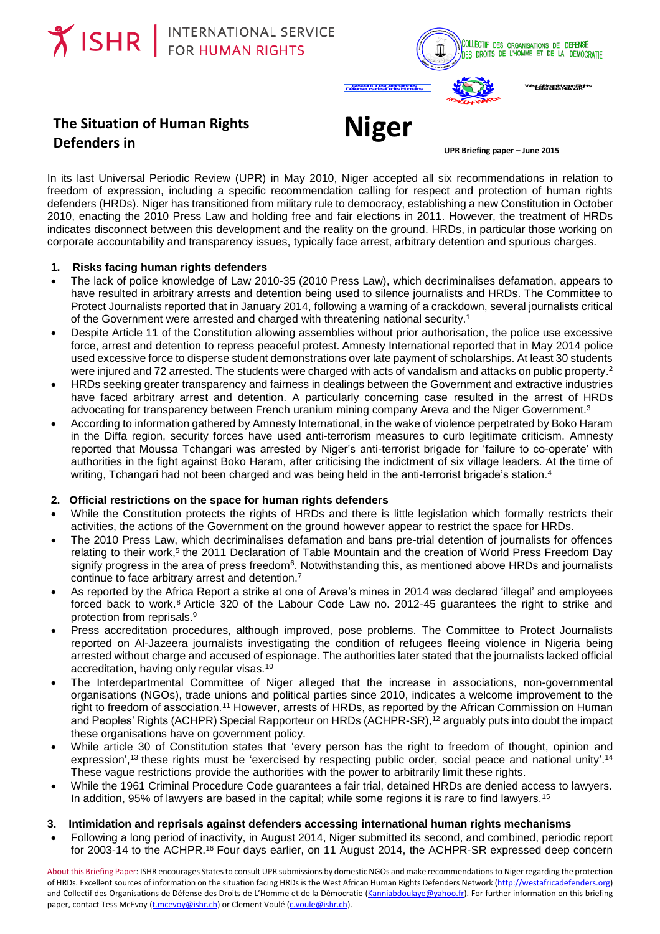

# **The Situation of Human Rights Defenders in**

**UPR Briefing paper – June 2015**

In its last Universal Periodic Review (UPR) in May 2010, Niger accepted all six recommendations in relation to freedom of expression, including a specific recommendation calling for respect and protection of human rights defenders (HRDs). Niger has transitioned from military rule to democracy, establishing a new Constitution in October 2010, enacting the 2010 Press Law and holding free and fair elections in 2011. However, the treatment of HRDs indicates disconnect between this development and the reality on the ground. HRDs, in particular those working on corporate accountability and transparency issues, typically face arrest, arbitrary detention and spurious charges.

**Niger**

#### **1. Risks facing human rights defenders**

- The lack of police knowledge of Law 2010-35 (2010 Press Law), which decriminalises defamation, appears to have resulted in arbitrary arrests and detention being used to silence journalists and HRDs. The Committee to Protect Journalists reported that in January 2014, following a warning of a crackdown, several journalists critical of the Government were arrested and charged with threatening national security. 1
- Despite Article 11 of the Constitution allowing assemblies without prior authorisation, the police use excessive force, arrest and detention to repress peaceful protest. Amnesty International reported that in May 2014 police used excessive force to disperse student demonstrations over late payment of scholarships. At least 30 students were injured and 72 arrested. The students were charged with acts of vandalism and attacks on public property. 2
- HRDs seeking greater transparency and fairness in dealings between the Government and extractive industries have faced arbitrary arrest and detention. A particularly concerning case resulted in the arrest of HRDs advocating for transparency between French uranium mining company Areva and the Niger Government.<sup>3</sup>
- According to information gathered by Amnesty International, in the wake of violence perpetrated by Boko Haram in the Diffa region, security forces have used anti-terrorism measures to curb legitimate criticism. Amnesty reported that Moussa Tchangari was arrested by Niger's anti-terrorist brigade for 'failure to co-operate' with authorities in the fight against Boko Haram, after criticising the indictment of six village leaders. At the time of writing, Tchangari had not been charged and was being held in the anti-terrorist brigade's station.<sup>4</sup>

#### **2. Official restrictions on the space for human rights defenders**

- While the Constitution protects the rights of HRDs and there is little legislation which formally restricts their activities, the actions of the Government on the ground however appear to restrict the space for HRDs.
- The 2010 Press Law, which decriminalises defamation and bans pre-trial detention of journalists for offences relating to their work,<sup>5</sup> the 2011 Declaration of Table Mountain and the creation of World Press Freedom Day signify progress in the area of press freedom<sup>6</sup>. Notwithstanding this, as mentioned above HRDs and journalists continue to face arbitrary arrest and detention. 7
- As reported by the Africa Report a strike at one of Areva's mines in 2014 was declared 'illegal' and employees forced back to work.<sup>8</sup> Article 320 of the Labour Code Law no. 2012-45 guarantees the right to strike and protection from reprisals.<sup>9</sup>
- Press accreditation procedures, although improved, pose problems. The Committee to Protect Journalists reported on Al-Jazeera journalists investigating the condition of refugees fleeing violence in Nigeria being arrested without charge and accused of espionage. The authorities later stated that the journalists lacked official accreditation, having only regular visas.<sup>10</sup>
- The Interdepartmental Committee of Niger alleged that the increase in associations, non-governmental organisations (NGOs), trade unions and political parties since 2010, indicates a welcome improvement to the right to freedom of association.<sup>11</sup> However, arrests of HRDs, as reported by the African Commission on Human and Peoples' Rights (ACHPR) Special Rapporteur on HRDs (ACHPR-SR), <sup>12</sup> arguably puts into doubt the impact these organisations have on government policy.
- While article 30 of Constitution states that 'every person has the right to freedom of thought, opinion and expression',<sup>13</sup> these rights must be 'exercised by respecting public order, social peace and national unity'.<sup>14</sup> These vague restrictions provide the authorities with the power to arbitrarily limit these rights.
- While the 1961 Criminal Procedure Code guarantees a fair trial, detained HRDs are denied access to lawyers. In addition, 95% of lawyers are based in the capital; while some regions it is rare to find lawyers.<sup>15</sup>

## **3. Intimidation and reprisals against defenders accessing international human rights mechanisms**

 Following a long period of inactivity, in August 2014, Niger submitted its second, and combined, periodic report for 2003-14 to the ACHPR.<sup>16</sup> Four days earlier, on 11 August 2014, the ACHPR-SR expressed deep concern

About this Briefing Paper: ISHR encourages States to consult UPR submissions by domestic NGOs and make recommendations to Niger regarding the protection of HRDs. Excellent sources of information on the situation facing HRDs is the West African Human Rights Defenders Network [\(http://westafricadefenders.org\)](http://westafricadefenders.org/) and Collectif des Organisations de Défense des Droits de L'Homme et de la Démocratie [\(Kanniabdoulaye@yahoo.fr\)](mailto:Kanniabdoulaye@yahoo.fr). For further information on this briefing paper, contact Tess McEvoy [\(t.mcevoy@ishr.ch\)](mailto:t.mcevoy@ishr.ch) or Clement Voulé [\(c.voule@ishr.ch\)](mailto:c.voule@ishr.ch).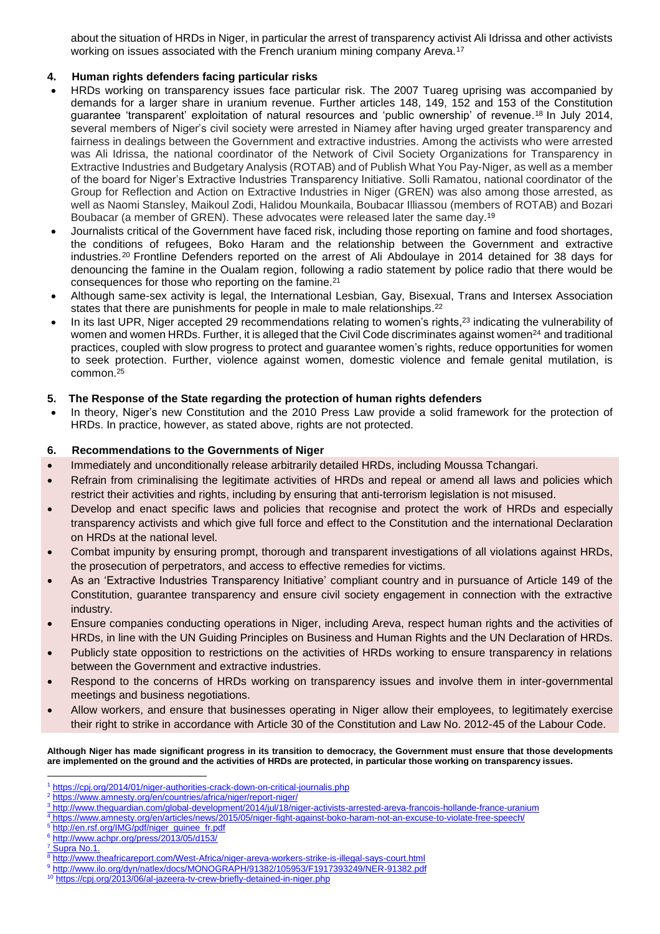about the situation of HRDs in Niger, in particular the arrest of transparency activist Ali Idrissa and other activists working on issues associated with the French uranium mining company Areva.<sup>17</sup>

### **4. Human rights defenders facing particular risks**

- HRDs working on transparency issues face particular risk. The 2007 Tuareg uprising was accompanied by demands for a larger share in uranium revenue. Further articles 148, 149, 152 and 153 of the Constitution guarantee 'transparent' exploitation of natural resources and 'public ownership' of revenue. <sup>18</sup> In July 2014, several members of Niger's civil society were arrested in Niamey after having urged greater transparency and fairness in dealings between the Government and extractive industries. Among the activists who were arrested was Ali Idrissa, the national coordinator of the Network of Civil Society Organizations for Transparency in Extractive Industries and Budgetary Analysis (ROTAB) and of Publish What You Pay-Niger, as well as a member of the board for Niger's Extractive Industries Transparency Initiative. Solli Ramatou, national coordinator of the Group for Reflection and Action on Extractive Industries in Niger (GREN) was also among those arrested, as well as Naomi Stansley, Maikoul Zodi, Halidou Mounkaila, Boubacar Illiassou (members of ROTAB) and Bozari Boubacar (a member of GREN). These advocates were released later the same day. 19
- Journalists critical of the Government have faced risk, including those reporting on famine and food shortages, the conditions of refugees, Boko Haram and the relationship between the Government and extractive industries.<sup>20</sup> Frontline Defenders reported on the arrest of Ali Abdoulaye in 2014 detained for 38 days for denouncing the famine in the Oualam region, following a radio statement by police radio that there would be consequences for those who reporting on the famine.<sup>21</sup>
- Although same-sex activity is legal, the International Lesbian, Gay, Bisexual, Trans and Intersex Association states that there are punishments for people in male to male relationships.<sup>22</sup>
- In its last UPR, Niger accepted 29 recommendations relating to women's rights,<sup>23</sup> indicating the vulnerability of women and women HRDs. Further, it is alleged that the Civil Code discriminates against women<sup>24</sup> and traditional practices, coupled with slow progress to protect and guarantee women's rights, reduce opportunities for women to seek protection. Further, violence against women, domestic violence and female genital mutilation, is common.<sup>25</sup>

#### **5. The Response of the State regarding the protection of human rights defenders**

 In theory, Niger's new Constitution and the 2010 Press Law provide a solid framework for the protection of HRDs. In practice, however, as stated above, rights are not protected.

#### **6. Recommendations to the Governments of Niger**

- Immediately and unconditionally release arbitrarily detailed HRDs, including Moussa Tchangari.
- Refrain from criminalising the legitimate activities of HRDs and repeal or amend all laws and policies which restrict their activities and rights, including by ensuring that anti-terrorism legislation is not misused.
- Develop and enact specific laws and policies that recognise and protect the work of HRDs and especially transparency activists and which give full force and effect to the Constitution and the international Declaration on HRDs at the national level.
- Combat impunity by ensuring prompt, thorough and transparent investigations of all violations against HRDs, the prosecution of perpetrators, and access to effective remedies for victims.
- As an 'Extractive Industries Transparency Initiative' compliant country and in pursuance of Article 149 of the Constitution, guarantee transparency and ensure civil society engagement in connection with the extractive industry.
- Ensure companies conducting operations in Niger, including Areva, respect human rights and the activities of HRDs, in line with the UN Guiding Principles on Business and Human Rights and the UN Declaration of HRDs.
- Publicly state opposition to restrictions on the activities of HRDs working to ensure transparency in relations between the Government and extractive industries.
- Respond to the concerns of HRDs working on transparency issues and involve them in inter-governmental meetings and business negotiations.
- Allow workers, and ensure that businesses operating in Niger allow their employees, to legitimately exercise their right to strike in accordance with Article 30 of the Constitution and Law No. 2012-45 of the Labour Code.

#### **Although Niger has made significant progress in its transition to democracy, the Government must ensure that those developments are implemented on the ground and the activities of HRDs are protected, in particular those working on transparency issues.**

<sup>5</sup> [http://en.rsf.org/IMG/pdf/niger\\_guinee\\_fr.pdf](http://en.rsf.org/IMG/pdf/niger_guinee_fr.pdf)

<sup>1</sup> <https://cpj.org/2014/01/niger-authorities-crack-down-on-critical-journalis.php>  $\overline{a}$ 

<sup>&</sup>lt;sup>2</sup> <https://www.amnesty.org/en/countries/africa/niger/report-niger/>

<sup>3</sup> <http://www.theguardian.com/global-development/2014/jul/18/niger-activists-arrested-areva-francois-hollande-france-uranium>

<sup>4</sup> <https://www.amnesty.org/en/articles/news/2015/05/niger-fight-against-boko-haram-not-an-excuse-to-violate-free-speech/>

<sup>6</sup> <http://www.achpr.org/press/2013/05/d153/>

<sup>&</sup>lt;sup>7</sup> Supra No.1.

<sup>8</sup> http://www.theafricareport.com/West-Africa/niger-areva-workers-strike-is-illegal-says-court.html

<sup>9</sup> <http://www.ilo.org/dyn/natlex/docs/MONOGRAPH/91382/105953/F1917393249/NER-91382.pdf>

<sup>&</sup>lt;sup>10</sup> <https://cpj.org/2013/06/al-jazeera-tv-crew-briefly-detained-in-niger.php>